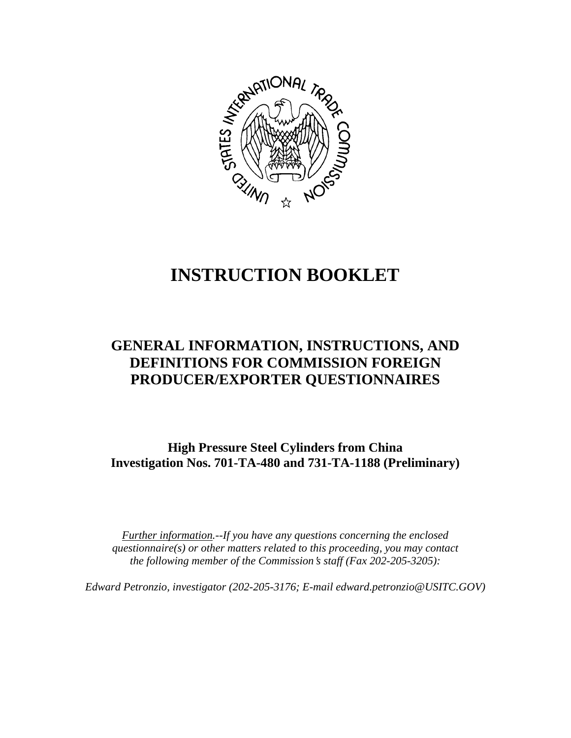

# **INSTRUCTION BOOKLET**

# **GENERAL INFORMATION, INSTRUCTIONS, AND DEFINITIONS FOR COMMISSION FOREIGN PRODUCER/EXPORTER QUESTIONNAIRES**

**High Pressure Steel Cylinders from China Investigation Nos. 701-TA-480 and 731-TA-1188 (Preliminary)**

*Further information.--If you have any questions concerning the enclosed questionnaire(s) or other matters related to this proceeding, you may contact the following member of the Commission*=*s staff (Fax 202-205-3205):* 

*Edward Petronzio, investigator (202-205-3176; E-mail edward.petronzio@USITC.GOV)*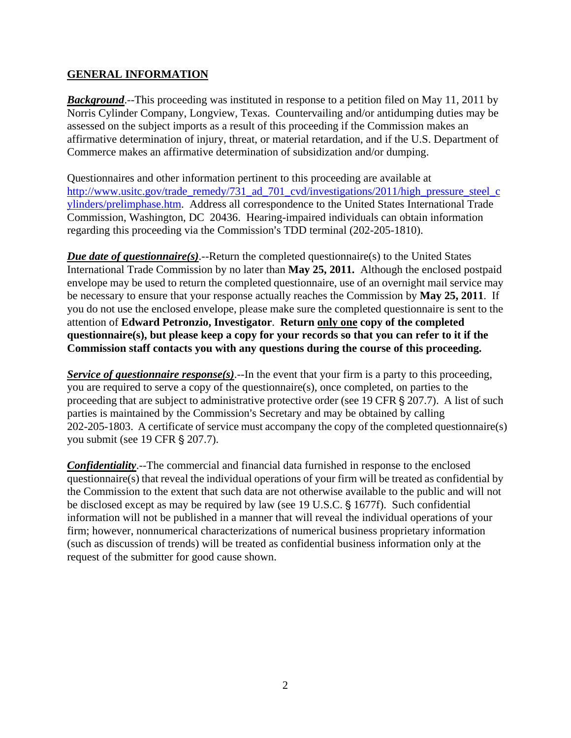### **GENERAL INFORMATION**

*Background*.--This proceeding was instituted in response to a petition filed on May 11, 2011 by Norris Cylinder Company, Longview, Texas. Countervailing and/or antidumping duties may be assessed on the subject imports as a result of this proceeding if the Commission makes an affirmative determination of injury, threat, or material retardation, and if the U.S. Department of Commerce makes an affirmative determination of subsidization and/or dumping.

Questionnaires and other information pertinent to this proceeding are available at http://www.usitc.gov/trade\_remedy/731\_ad\_701\_cvd/investigations/2011/high\_pressure\_steel\_c ylinders/prelimphase.htm. Address all correspondence to the United States International Trade Commission, Washington, DC 20436. Hearing-impaired individuals can obtain information regarding this proceeding via the Commission's TDD terminal (202-205-1810).

*Due date of questionnaire(s)*.--Return the completed questionnaire(s) to the United States International Trade Commission by no later than **May 25, 2011.** Although the enclosed postpaid envelope may be used to return the completed questionnaire, use of an overnight mail service may be necessary to ensure that your response actually reaches the Commission by **May 25, 2011**. If you do not use the enclosed envelope, please make sure the completed questionnaire is sent to the attention of **Edward Petronzio, Investigator**. **Return only one copy of the completed questionnaire(s), but please keep a copy for your records so that you can refer to it if the Commission staff contacts you with any questions during the course of this proceeding.**

*Service of questionnaire response(s).*--In the event that your firm is a party to this proceeding, you are required to serve a copy of the questionnaire(s), once completed, on parties to the proceeding that are subject to administrative protective order (see 19 CFR  $\S 207.7$ ). A list of such parties is maintained by the Commission's Secretary and may be obtained by calling 202-205-1803. A certificate of service must accompany the copy of the completed questionnaire(s) you submit (see 19 CFR § 207.7).

*Confidentiality*.--The commercial and financial data furnished in response to the enclosed questionnaire(s) that reveal the individual operations of your firm will be treated as confidential by the Commission to the extent that such data are not otherwise available to the public and will not be disclosed except as may be required by law (see 19 U.S.C.  $\S$  1677f). Such confidential information will not be published in a manner that will reveal the individual operations of your firm; however, nonnumerical characterizations of numerical business proprietary information (such as discussion of trends) will be treated as confidential business information only at the request of the submitter for good cause shown.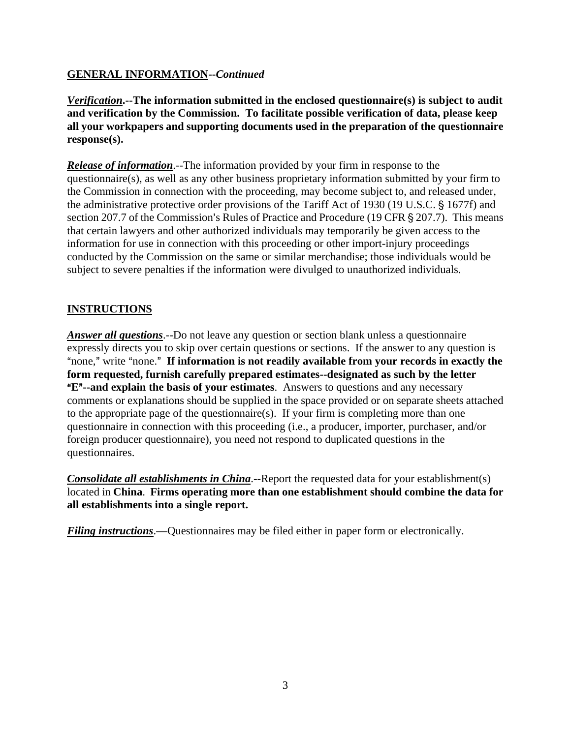# **GENERAL INFORMATION--***Continued*

*Verification***.--The information submitted in the enclosed questionnaire(s) is subject to audit and verification by the Commission. To facilitate possible verification of data, please keep all your workpapers and supporting documents used in the preparation of the questionnaire response(s).**

*Release of information*.--The information provided by your firm in response to the questionnaire(s), as well as any other business proprietary information submitted by your firm to the Commission in connection with the proceeding, may become subject to, and released under, the administrative protective order provisions of the Tariff Act of 1930 (19 U.S.C. § 1677f) and section 207.7 of the Commission's Rules of Practice and Procedure (19 CFR § 207.7). This means that certain lawyers and other authorized individuals may temporarily be given access to the information for use in connection with this proceeding or other import-injury proceedings conducted by the Commission on the same or similar merchandise; those individuals would be subject to severe penalties if the information were divulged to unauthorized individuals.

# **INSTRUCTIONS**

*Answer all questions*.--Do not leave any question or section blank unless a questionnaire expressly directs you to skip over certain questions or sections. If the answer to any question is "none," write "none." If information is not readily available from your records in exactly the **form requested, furnish carefully prepared estimates--designated as such by the letter E<sup>"</sup>--and explain the basis of your estimates**. Answers to questions and any necessary comments or explanations should be supplied in the space provided or on separate sheets attached to the appropriate page of the questionnaire(s). If your firm is completing more than one questionnaire in connection with this proceeding (i.e., a producer, importer, purchaser, and/or foreign producer questionnaire), you need not respond to duplicated questions in the questionnaires.

*Consolidate all establishments in China*.--Report the requested data for your establishment(s) located in **China**. **Firms operating more than one establishment should combine the data for all establishments into a single report.** 

*Filing instructions*.—Questionnaires may be filed either in paper form or electronically.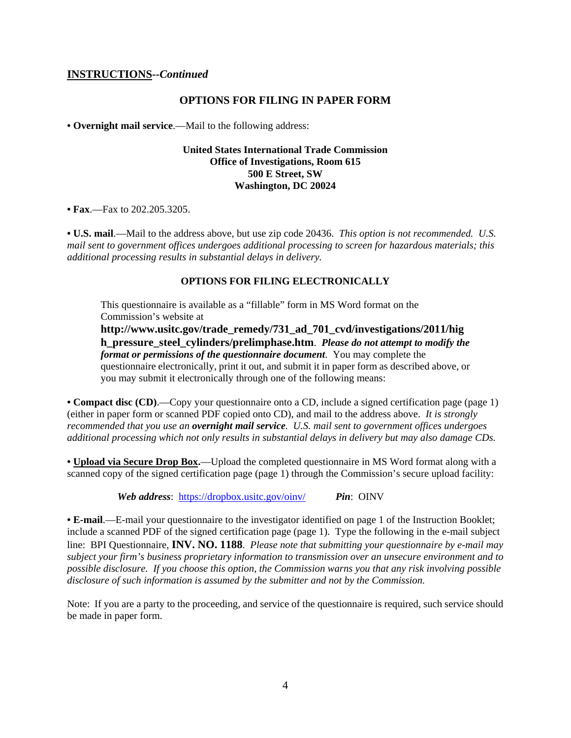#### **INSTRUCTIONS--***Continued*

#### **OPTIONS FOR FILING IN PAPER FORM**

**• Overnight mail service**.—Mail to the following address:

#### **United States International Trade Commission Office of Investigations, Room 615 500 E Street, SW Washington, DC 20024**

**• Fax**.—Fax to 202.205.3205.

**• U.S. mail**.—Mail to the address above, but use zip code 20436. *This option is not recommended. U.S. mail sent to government offices undergoes additional processing to screen for hazardous materials; this additional processing results in substantial delays in delivery.* 

#### **OPTIONS FOR FILING ELECTRONICALLY**

This questionnaire is available as a "fillable" form in MS Word format on the Commission's website at

**http://www.usitc.gov/trade\_remedy/731\_ad\_701\_cvd/investigations/2011/hig h\_pressure\_steel\_cylinders/prelimphase.htm**. *Please do not attempt to modify the format or permissions of the questionnaire document*. You may complete the questionnaire electronically, print it out, and submit it in paper form as described above, or you may submit it electronically through one of the following means:

**• Compact disc (CD)**.—Copy your questionnaire onto a CD, include a signed certification page (page 1) (either in paper form or scanned PDF copied onto CD), and mail to the address above. *It is strongly recommended that you use an overnight mail service. U.S. mail sent to government offices undergoes additional processing which not only results in substantial delays in delivery but may also damage CDs.* 

**• Upload via Secure Drop Box.**—Upload the completed questionnaire in MS Word format along with a scanned copy of the signed certification page (page 1) through the Commission's secure upload facility:

*Web address*: https://dropbox.usitc.gov/oinv/ *Pin*: OINV

**• E-mail**.—E-mail your questionnaire to the investigator identified on page 1 of the Instruction Booklet; include a scanned PDF of the signed certification page (page 1). Type the following in the e-mail subject line: BPI Questionnaire, **INV. NO. 1188**. *Please note that submitting your questionnaire by e-mail may subject your firm's business proprietary information to transmission over an unsecure environment and to possible disclosure. If you choose this option, the Commission warns you that any risk involving possible disclosure of such information is assumed by the submitter and not by the Commission.* 

Note: If you are a party to the proceeding, and service of the questionnaire is required, such service should be made in paper form.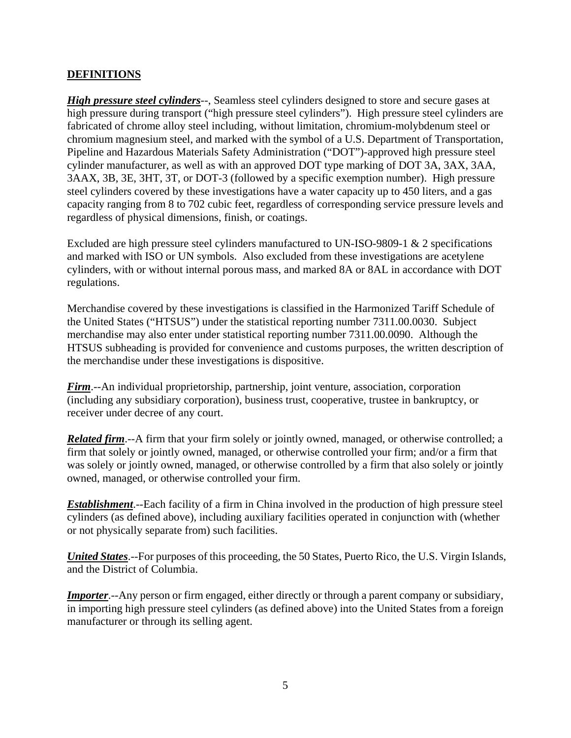# **DEFINITIONS**

*High pressure steel cylinders*--, Seamless steel cylinders designed to store and secure gases at high pressure during transport ("high pressure steel cylinders"). High pressure steel cylinders are fabricated of chrome alloy steel including, without limitation, chromium-molybdenum steel or chromium magnesium steel, and marked with the symbol of a U.S. Department of Transportation, Pipeline and Hazardous Materials Safety Administration ("DOT")-approved high pressure steel cylinder manufacturer, as well as with an approved DOT type marking of DOT 3A, 3AX, 3AA, 3AAX, 3B, 3E, 3HT, 3T, or DOT-3 (followed by a specific exemption number). High pressure steel cylinders covered by these investigations have a water capacity up to 450 liters, and a gas capacity ranging from 8 to 702 cubic feet, regardless of corresponding service pressure levels and regardless of physical dimensions, finish, or coatings.

Excluded are high pressure steel cylinders manufactured to UN-ISO-9809-1 & 2 specifications and marked with ISO or UN symbols. Also excluded from these investigations are acetylene cylinders, with or without internal porous mass, and marked 8A or 8AL in accordance with DOT regulations.

Merchandise covered by these investigations is classified in the Harmonized Tariff Schedule of the United States ("HTSUS") under the statistical reporting number 7311.00.0030. Subject merchandise may also enter under statistical reporting number 7311.00.0090. Although the HTSUS subheading is provided for convenience and customs purposes, the written description of the merchandise under these investigations is dispositive.

*Firm*.--An individual proprietorship, partnership, joint venture, association, corporation (including any subsidiary corporation), business trust, cooperative, trustee in bankruptcy, or receiver under decree of any court.

*Related firm*.--A firm that your firm solely or jointly owned, managed, or otherwise controlled; a firm that solely or jointly owned, managed, or otherwise controlled your firm; and/or a firm that was solely or jointly owned, managed, or otherwise controlled by a firm that also solely or jointly owned, managed, or otherwise controlled your firm.

*Establishment*.--Each facility of a firm in China involved in the production of high pressure steel cylinders (as defined above), including auxiliary facilities operated in conjunction with (whether or not physically separate from) such facilities.

*United States*.--For purposes of this proceeding, the 50 States, Puerto Rico, the U.S. Virgin Islands, and the District of Columbia.

*Importer*.--Any person or firm engaged, either directly or through a parent company or subsidiary, in importing high pressure steel cylinders (as defined above) into the United States from a foreign manufacturer or through its selling agent.